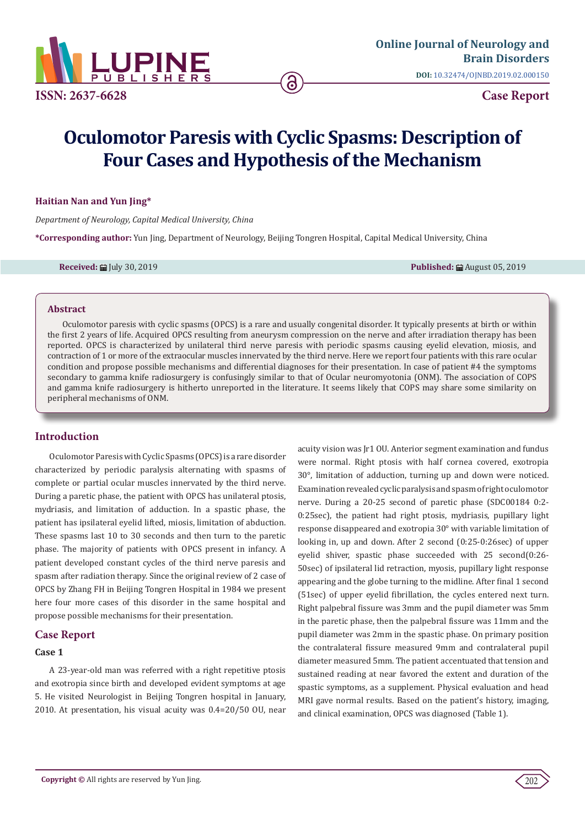

# **Oculomotor Paresis with Cyclic Spasms: Description of Four Cases and Hypothesis of the Mechanism**

### **Haitian Nan and Yun Jing\***

*Department of Neurology, Capital Medical University, China*

**\*Corresponding author:** Yun Jing, Department of Neurology, Beijing Tongren Hospital, Capital Medical University, China

**Received:** July 30, 2019 **Published:** August 05, 2019

## **Abstract**

Oculomotor paresis with cyclic spasms (OPCS) is a rare and usually congenital disorder. It typically presents at birth or within the first 2 years of life. Acquired OPCS resulting from aneurysm compression on the nerve and after irradiation therapy has been reported. OPCS is characterized by unilateral third nerve paresis with periodic spasms causing eyelid elevation, miosis, and contraction of 1 or more of the extraocular muscles innervated by the third nerve. Here we report four patients with this rare ocular condition and propose possible mechanisms and differential diagnoses for their presentation. In case of patient #4 the symptoms secondary to gamma knife radiosurgery is confusingly similar to that of Ocular neuromyotonia (ONM). The association of COPS and gamma knife radiosurgery is hitherto unreported in the literature. It seems likely that COPS may share some similarity on peripheral mechanisms of ONM.

# **Introduction**

Oculomotor Paresis with Cyclic Spasms (OPCS) is a rare disorder characterized by periodic paralysis alternating with spasms of complete or partial ocular muscles innervated by the third nerve. During a paretic phase, the patient with OPCS has unilateral ptosis, mydriasis, and limitation of adduction. In a spastic phase, the patient has ipsilateral eyelid lifted, miosis, limitation of abduction. These spasms last 10 to 30 seconds and then turn to the paretic phase. The majority of patients with OPCS present in infancy. A patient developed constant cycles of the third nerve paresis and spasm after radiation therapy. Since the original review of 2 case of OPCS by Zhang FH in Beijing Tongren Hospital in 1984 we present here four more cases of this disorder in the same hospital and propose possible mechanisms for their presentation.

# **Case Report**

## **Case 1**

A 23-year-old man was referred with a right repetitive ptosis and exotropia since birth and developed evident symptoms at age 5. He visited Neurologist in Beijing Tongren hospital in January, 2010. At presentation, his visual acuity was 0.4=20/50 OU, near

acuity vision was Jr1 OU. Anterior segment examination and fundus were normal. Right ptosis with half cornea covered, exotropia 30°, limitation of adduction, turning up and down were noticed. Examination revealed cyclic paralysis and spasm of right oculomotor nerve. During a 20-25 second of paretic phase (SDC00184 0:2- 0:25sec), the patient had right ptosis, mydriasis, pupillary light response disappeared and exotropia 30° with variable limitation of looking in, up and down. After 2 second (0:25-0:26sec) of upper eyelid shiver, spastic phase succeeded with 25 second(0:26- 50sec) of ipsilateral lid retraction, myosis, pupillary light response appearing and the globe turning to the midline. After final 1 second (51sec) of upper eyelid fibrillation, the cycles entered next turn. Right palpebral fissure was 3mm and the pupil diameter was 5mm in the paretic phase, then the palpebral fissure was 11mm and the pupil diameter was 2mm in the spastic phase. On primary position the contralateral fissure measured 9mm and contralateral pupil diameter measured 5mm. The patient accentuated that tension and sustained reading at near favored the extent and duration of the spastic symptoms, as a supplement. Physical evaluation and head MRI gave normal results. Based on the patient's history, imaging, and clinical examination, OPCS was diagnosed (Table 1).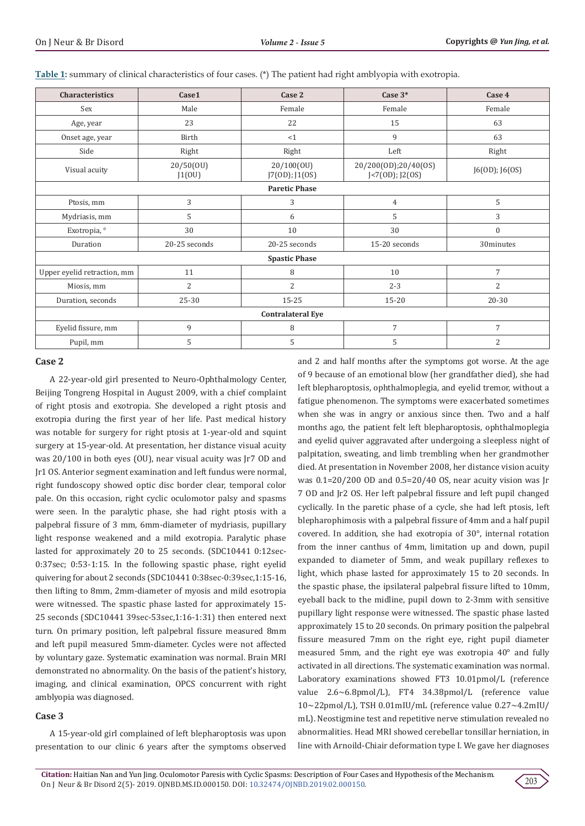| Characteristics             | Case1               | Case 2                       | Case $3*$                                       | Case 4         |
|-----------------------------|---------------------|------------------------------|-------------------------------------------------|----------------|
| Sex                         | Male                | Female                       | Female                                          | Female         |
| Age, year                   | 23                  | 22                           | 15                                              | 63             |
| Onset age, year             | Birth               | <1                           | 9                                               | 63             |
| Side                        | Right               | Right                        | Left                                            | Right          |
| Visual acuity               | 20/50(OU)<br>J1(0U) | 20/100(0U)<br>J7(0D); J1(0S) | 20/200(OD);20/40(OS)<br>$J < 7(0D)$ ; J2 $(0S)$ | J6(OD); J6(OS) |
| <b>Paretic Phase</b>        |                     |                              |                                                 |                |
| Ptosis, mm                  | 3                   | 3                            | $\overline{4}$                                  | 5              |
| Mydriasis, mm               | 5                   | 6                            | 5                                               | 3              |
| Exotropia, °                | 30                  | 10                           | 30                                              | $\mathbf{0}$   |
| Duration                    | 20-25 seconds       | 20-25 seconds                | 15-20 seconds                                   | 30minutes      |
| <b>Spastic Phase</b>        |                     |                              |                                                 |                |
| Upper eyelid retraction, mm | 11                  | 8                            | 10                                              | 7              |
| Miosis, mm                  | $\overline{2}$      | 2                            | $2 - 3$                                         | $\overline{2}$ |
| Duration, seconds           | 25-30               | 15-25                        | $15 - 20$                                       | 20-30          |
| <b>Contralateral Eye</b>    |                     |                              |                                                 |                |
| Eyelid fissure, mm          | 9                   | 8                            | $\overline{7}$                                  | 7              |
| Pupil, mm                   | 5                   | 5                            | 5                                               | $\overline{2}$ |

**Table 1:** summary of clinical characteristics of four cases. (\*) The patient had right amblyopia with exotropia.

## **Case 2**

A 22-year-old girl presented to Neuro-Ophthalmology Center, Beijing Tongreng Hospital in August 2009, with a chief complaint of right ptosis and exotropia. She developed a right ptosis and exotropia during the first year of her life. Past medical history was notable for surgery for right ptosis at 1-year-old and squint surgery at 15-year-old. At presentation, her distance visual acuity was 20/100 in both eyes (OU), near visual acuity was Jr7 OD and Jr1 OS. Anterior segment examination and left fundus were normal, right fundoscopy showed optic disc border clear, temporal color pale. On this occasion, right cyclic oculomotor palsy and spasms were seen. In the paralytic phase, she had right ptosis with a palpebral fissure of 3 mm, 6mm-diameter of mydriasis, pupillary light response weakened and a mild exotropia. Paralytic phase lasted for approximately 20 to 25 seconds. (SDC10441 0:12sec-0:37sec; 0:53-1:15. In the following spastic phase, right eyelid quivering for about 2 seconds (SDC10441 0:38sec-0:39sec,1:15-16, then lifting to 8mm, 2mm-diameter of myosis and mild esotropia were witnessed. The spastic phase lasted for approximately 15- 25 seconds (SDC10441 39sec-53sec,1:16-1:31) then entered next turn. On primary position, left palpebral fissure measured 8mm and left pupil measured 5mm-diameter. Cycles were not affected by voluntary gaze. Systematic examination was normal. Brain MRI demonstrated no abnormality. On the basis of the patient's history, imaging, and clinical examination, OPCS concurrent with right amblyopia was diagnosed.

## **Case 3**

A 15-year-old girl complained of left blepharoptosis was upon presentation to our clinic 6 years after the symptoms observed and 2 and half months after the symptoms got worse. At the age of 9 because of an emotional blow (her grandfather died), she had left blepharoptosis, ophthalmoplegia, and eyelid tremor, without a fatigue phenomenon. The symptoms were exacerbated sometimes when she was in angry or anxious since then. Two and a half months ago, the patient felt left blepharoptosis, ophthalmoplegia and eyelid quiver aggravated after undergoing a sleepless night of palpitation, sweating, and limb trembling when her grandmother died. At presentation in November 2008, her distance vision acuity was 0.1=20/200 OD and 0.5=20/40 OS, near acuity vision was Jr 7 OD and Jr2 OS. Her left palpebral fissure and left pupil changed cyclically. In the paretic phase of a cycle, she had left ptosis, left blepharophimosis with a palpebral fissure of 4mm and a half pupil covered. In addition, she had exotropia of 30°, internal rotation from the inner canthus of 4mm, limitation up and down, pupil expanded to diameter of 5mm, and weak pupillary reflexes to light, which phase lasted for approximately 15 to 20 seconds. In the spastic phase, the ipsilateral palpebral fissure lifted to 10mm, eyeball back to the midline, pupil down to 2-3mm with sensitive pupillary light response were witnessed. The spastic phase lasted approximately 15 to 20 seconds. On primary position the palpebral fissure measured 7mm on the right eye, right pupil diameter measured 5mm, and the right eye was exotropia 40° and fully activated in all directions. The systematic examination was normal. Laboratory examinations showed FT3 10.01pmol/L (reference value 2.6~6.8pmol/L), FT4 34.38pmol/L (reference value 10~22pmol/L), TSH 0.01mIU/mL (reference value 0.27~4.2mIU/ mL). Neostigmine test and repetitive nerve stimulation revealed no abnormalities. Head MRI showed cerebellar tonsillar herniation, in line with Arnoild-Chiair deformation type I. We gave her diagnoses

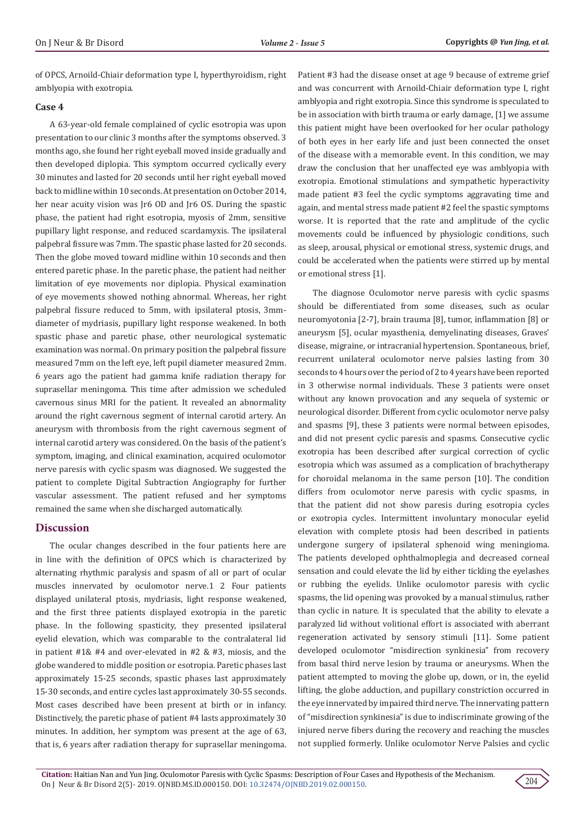of OPCS, Arnoild-Chiair deformation type I, hyperthyroidism, right amblyopia with exotropia.

#### **Case 4**

A 63-year-old female complained of cyclic esotropia was upon presentation to our clinic 3 months after the symptoms observed. 3 months ago, she found her right eyeball moved inside gradually and then developed diplopia. This symptom occurred cyclically every 30 minutes and lasted for 20 seconds until her right eyeball moved back to midline within 10 seconds. At presentation on October 2014, her near acuity vision was Jr6 OD and Jr6 OS. During the spastic phase, the patient had right esotropia, myosis of 2mm, sensitive pupillary light response, and reduced scardamyxis. The ipsilateral palpebral fissure was 7mm. The spastic phase lasted for 20 seconds. Then the globe moved toward midline within 10 seconds and then entered paretic phase. In the paretic phase, the patient had neither limitation of eye movements nor diplopia. Physical examination of eye movements showed nothing abnormal. Whereas, her right palpebral fissure reduced to 5mm, with ipsilateral ptosis, 3mmdiameter of mydriasis, pupillary light response weakened. In both spastic phase and paretic phase, other neurological systematic examination was normal. On primary position the palpebral fissure measured 7mm on the left eye, left pupil diameter measured 2mm. 6 years ago the patient had gamma knife radiation therapy for suprasellar meningoma. This time after admission we scheduled cavernous sinus MRI for the patient. It revealed an abnormality around the right cavernous segment of internal carotid artery. An aneurysm with thrombosis from the right cavernous segment of internal carotid artery was considered. On the basis of the patient's symptom, imaging, and clinical examination, acquired oculomotor nerve paresis with cyclic spasm was diagnosed. We suggested the patient to complete Digital Subtraction Angiography for further vascular assessment. The patient refused and her symptoms remained the same when she discharged automatically.

#### **Discussion**

The ocular changes described in the four patients here are in line with the definition of OPCS which is characterized by alternating rhythmic paralysis and spasm of all or part of ocular muscles innervated by oculomotor nerve.1 2 Four patients displayed unilateral ptosis, mydriasis, light response weakened, and the first three patients displayed exotropia in the paretic phase. In the following spasticity, they presented ipsilateral eyelid elevation, which was comparable to the contralateral lid in patient #1& #4 and over-elevated in #2 & #3, miosis, and the globe wandered to middle position or esotropia. Paretic phases last approximately 15-25 seconds, spastic phases last approximately 15-30 seconds, and entire cycles last approximately 30-55 seconds. Most cases described have been present at birth or in infancy. Distinctively, the paretic phase of patient #4 lasts approximately 30 minutes. In addition, her symptom was present at the age of 63, that is, 6 years after radiation therapy for suprasellar meningoma.

Patient #3 had the disease onset at age 9 because of extreme grief and was concurrent with Arnoild-Chiair deformation type I, right amblyopia and right exotropia. Since this syndrome is speculated to be in association with birth trauma or early damage, [1] we assume this patient might have been overlooked for her ocular pathology of both eyes in her early life and just been connected the onset of the disease with a memorable event. In this condition, we may draw the conclusion that her unaffected eye was amblyopia with exotropia. Emotional stimulations and sympathetic hyperactivity made patient #3 feel the cyclic symptoms aggravating time and again, and mental stress made patient #2 feel the spastic symptoms worse. It is reported that the rate and amplitude of the cyclic movements could be influenced by physiologic conditions, such as sleep, arousal, physical or emotional stress, systemic drugs, and could be accelerated when the patients were stirred up by mental or emotional stress [1].

The diagnose Oculomotor nerve paresis with cyclic spasms should be differentiated from some diseases, such as ocular neuromyotonia [2-7], brain trauma [8], tumor, inflammation [8] or aneurysm [5], ocular myasthenia, demyelinating diseases, Graves' disease, migraine, or intracranial hypertension. Spontaneous, brief, recurrent unilateral oculomotor nerve palsies lasting from 30 seconds to 4 hours over the period of 2 to 4 years have been reported in 3 otherwise normal individuals. These 3 patients were onset without any known provocation and any sequela of systemic or neurological disorder. Different from cyclic oculomotor nerve palsy and spasms [9], these 3 patients were normal between episodes, and did not present cyclic paresis and spasms. Consecutive cyclic exotropia has been described after surgical correction of cyclic esotropia which was assumed as a complication of brachytherapy for choroidal melanoma in the same person [10]. The condition differs from oculomotor nerve paresis with cyclic spasms, in that the patient did not show paresis during esotropia cycles or exotropia cycles. Intermittent involuntary monocular eyelid elevation with complete ptosis had been described in patients undergone surgery of ipsilateral sphenoid wing meningioma. The patients developed ophthalmoplegia and decreased corneal sensation and could elevate the lid by either tickling the eyelashes or rubbing the eyelids. Unlike oculomotor paresis with cyclic spasms, the lid opening was provoked by a manual stimulus, rather than cyclic in nature. It is speculated that the ability to elevate a paralyzed lid without volitional effort is associated with aberrant regeneration activated by sensory stimuli [11]. Some patient developed oculomotor "misdirection synkinesia" from recovery from basal third nerve lesion by trauma or aneurysms. When the patient attempted to moving the globe up, down, or in, the eyelid lifting, the globe adduction, and pupillary constriction occurred in the eye innervated by impaired third nerve. The innervating pattern of "misdirection synkinesia" is due to indiscriminate growing of the injured nerve fibers during the recovery and reaching the muscles not supplied formerly. Unlike oculomotor Nerve Palsies and cyclic

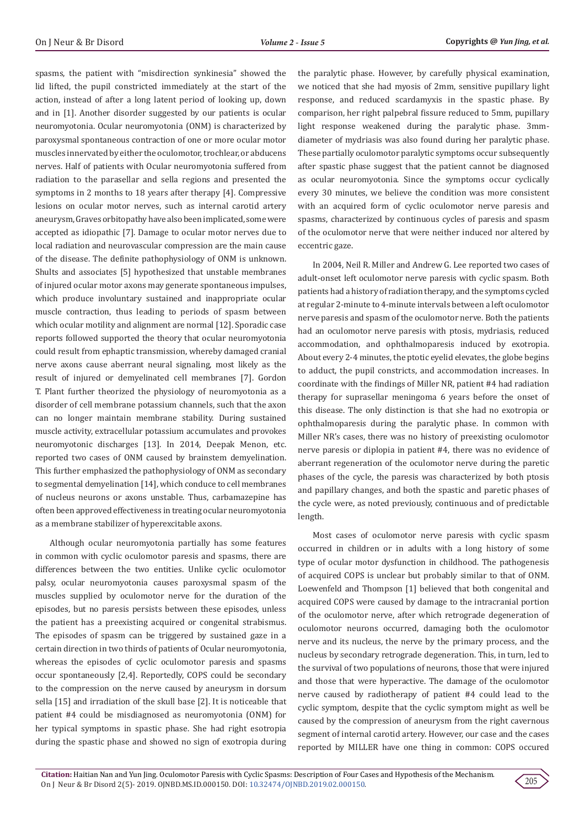spasms, the patient with "misdirection synkinesia" showed the lid lifted, the pupil constricted immediately at the start of the action, instead of after a long latent period of looking up, down and in [1]. Another disorder suggested by our patients is ocular neuromyotonia. Ocular neuromyotonia (ONM) is characterized by paroxysmal spontaneous contraction of one or more ocular motor muscles innervated by either the oculomotor, trochlear, or abducens nerves. Half of patients with Ocular neuromyotonia suffered from radiation to the parasellar and sella regions and presented the symptoms in 2 months to 18 years after therapy [4]. Compressive lesions on ocular motor nerves, such as internal carotid artery aneurysm, Graves orbitopathy have also been implicated, some were accepted as idiopathic [7]. Damage to ocular motor nerves due to local radiation and neurovascular compression are the main cause of the disease. The definite pathophysiology of ONM is unknown. Shults and associates [5] hypothesized that unstable membranes of injured ocular motor axons may generate spontaneous impulses, which produce involuntary sustained and inappropriate ocular muscle contraction, thus leading to periods of spasm between which ocular motility and alignment are normal [12]. Sporadic case reports followed supported the theory that ocular neuromyotonia could result from ephaptic transmission, whereby damaged cranial nerve axons cause aberrant neural signaling, most likely as the result of injured or demyelinated cell membranes [7]. Gordon T. Plant further theorized the physiology of neuromyotonia as a disorder of cell membrane potassium channels, such that the axon can no longer maintain membrane stability. During sustained muscle activity, extracellular potassium accumulates and provokes neuromyotonic discharges [13]. In 2014, Deepak Menon, etc. reported two cases of ONM caused by brainstem demyelination. This further emphasized the pathophysiology of ONM as secondary to segmental demyelination [14], which conduce to cell membranes of nucleus neurons or axons unstable. Thus, carbamazepine has often been approved effectiveness in treating ocular neuromyotonia as a membrane stabilizer of hyperexcitable axons.

Although ocular neuromyotonia partially has some features in common with cyclic oculomotor paresis and spasms, there are differences between the two entities. Unlike cyclic oculomotor palsy, ocular neuromyotonia causes paroxysmal spasm of the muscles supplied by oculomotor nerve for the duration of the episodes, but no paresis persists between these episodes, unless the patient has a preexisting acquired or congenital strabismus. The episodes of spasm can be triggered by sustained gaze in a certain direction in two thirds of patients of Ocular neuromyotonia, whereas the episodes of cyclic oculomotor paresis and spasms occur spontaneously [2,4]. Reportedly, COPS could be secondary to the compression on the nerve caused by aneurysm in dorsum sella [15] and irradiation of the skull base [2]. It is noticeable that patient #4 could be misdiagnosed as neuromyotonia (ONM) for her typical symptoms in spastic phase. She had right esotropia during the spastic phase and showed no sign of exotropia during

the paralytic phase. However, by carefully physical examination, we noticed that she had myosis of 2mm, sensitive pupillary light response, and reduced scardamyxis in the spastic phase. By comparison, her right palpebral fissure reduced to 5mm, pupillary light response weakened during the paralytic phase. 3mmdiameter of mydriasis was also found during her paralytic phase. These partially oculomotor paralytic symptoms occur subsequently after spastic phase suggest that the patient cannot be diagnosed as ocular neuromyotonia. Since the symptoms occur cyclically every 30 minutes, we believe the condition was more consistent with an acquired form of cyclic oculomotor nerve paresis and spasms, characterized by continuous cycles of paresis and spasm of the oculomotor nerve that were neither induced nor altered by eccentric gaze.

In 2004, Neil R. Miller and Andrew G. Lee reported two cases of adult-onset left oculomotor nerve paresis with cyclic spasm. Both patients had a history of radiation therapy, and the symptoms cycled at regular 2-minute to 4-minute intervals between a left oculomotor nerve paresis and spasm of the oculomotor nerve. Both the patients had an oculomotor nerve paresis with ptosis, mydriasis, reduced accommodation, and ophthalmoparesis induced by exotropia. About every 2-4 minutes, the ptotic eyelid elevates, the globe begins to adduct, the pupil constricts, and accommodation increases. In coordinate with the findings of Miller NR, patient #4 had radiation therapy for suprasellar meningoma 6 years before the onset of this disease. The only distinction is that she had no exotropia or ophthalmoparesis during the paralytic phase. In common with Miller NR's cases, there was no history of preexisting oculomotor nerve paresis or diplopia in patient #4, there was no evidence of aberrant regeneration of the oculomotor nerve during the paretic phases of the cycle, the paresis was characterized by both ptosis and papillary changes, and both the spastic and paretic phases of the cycle were, as noted previously, continuous and of predictable length.

Most cases of oculomotor nerve paresis with cyclic spasm occurred in children or in adults with a long history of some type of ocular motor dysfunction in childhood. The pathogenesis of acquired COPS is unclear but probably similar to that of ONM. Loewenfeld and Thompson [1] believed that both congenital and acquired COPS were caused by damage to the intracranial portion of the oculomotor nerve, after which retrograde degeneration of oculomotor neurons occurred, damaging both the oculomotor nerve and its nucleus, the nerve by the primary process, and the nucleus by secondary retrograde degeneration. This, in turn, led to the survival of two populations of neurons, those that were injured and those that were hyperactive. The damage of the oculomotor nerve caused by radiotherapy of patient #4 could lead to the cyclic symptom, despite that the cyclic symptom might as well be caused by the compression of aneurysm from the right cavernous segment of internal carotid artery. However, our case and the cases reported by MILLER have one thing in common: COPS occured

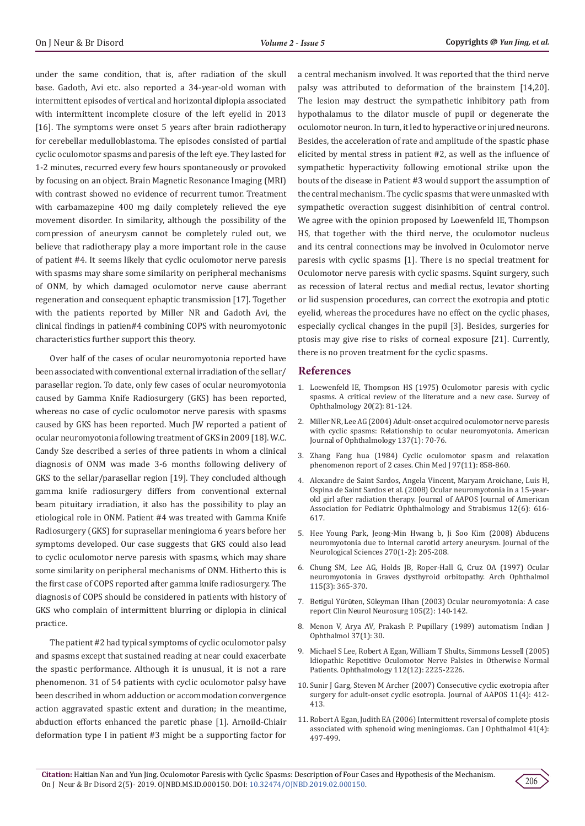under the same condition, that is, after radiation of the skull base. Gadoth, Avi etc. also reported a 34-year-old woman with intermittent episodes of vertical and horizontal diplopia associated with intermittent incomplete closure of the left evelid in 2013 [16]. The symptoms were onset 5 years after brain radiotherapy for cerebellar medulloblastoma. The episodes consisted of partial cyclic oculomotor spasms and paresis of the left eye. They lasted for 1-2 minutes, recurred every few hours spontaneously or provoked by focusing on an object. Brain Magnetic Resonance Imaging (MRI) with contrast showed no evidence of recurrent tumor. Treatment with carbamazepine 400 mg daily completely relieved the eye movement disorder. In similarity, although the possibility of the compression of aneurysm cannot be completely ruled out, we believe that radiotherapy play a more important role in the cause of patient #4. It seems likely that cyclic oculomotor nerve paresis with spasms may share some similarity on peripheral mechanisms of ONM, by which damaged oculomotor nerve cause aberrant regeneration and consequent ephaptic transmission [17]. Together with the patients reported by Miller NR and Gadoth Avi, the clinical findings in patien#4 combining COPS with neuromyotonic characteristics further support this theory.

Over half of the cases of ocular neuromyotonia reported have been associated with conventional external irradiation of the sellar/ parasellar region. To date, only few cases of ocular neuromyotonia caused by Gamma Knife Radiosurgery (GKS) has been reported, whereas no case of cyclic oculomotor nerve paresis with spasms caused by GKS has been reported. Much JW reported a patient of ocular neuromyotonia following treatment of GKS in 2009 [18]. W.C. Candy Sze described a series of three patients in whom a clinical diagnosis of ONM was made 3-6 months following delivery of GKS to the sellar/parasellar region [19]. They concluded although gamma knife radiosurgery differs from conventional external beam pituitary irradiation, it also has the possibility to play an etiological role in ONM. Patient #4 was treated with Gamma Knife Radiosurgery (GKS) for suprasellar meningioma 6 years before her symptoms developed. Our case suggests that GKS could also lead to cyclic oculomotor nerve paresis with spasms, which may share some similarity on peripheral mechanisms of ONM. Hitherto this is the first case of COPS reported after gamma knife radiosurgery. The diagnosis of COPS should be considered in patients with history of GKS who complain of intermittent blurring or diplopia in clinical practice.

The patient #2 had typical symptoms of cyclic oculomotor palsy and spasms except that sustained reading at near could exacerbate the spastic performance. Although it is unusual, it is not a rare phenomenon. 31 of 54 patients with cyclic oculomotor palsy have been described in whom adduction or accommodation convergence action aggravated spastic extent and duration; in the meantime, abduction efforts enhanced the paretic phase [1]. Arnoild-Chiair deformation type I in patient #3 might be a supporting factor for

a central mechanism involved. It was reported that the third nerve palsy was attributed to deformation of the brainstem [14,20]. The lesion may destruct the sympathetic inhibitory path from hypothalamus to the dilator muscle of pupil or degenerate the oculomotor neuron. In turn, it led to hyperactive or injured neurons. Besides, the acceleration of rate and amplitude of the spastic phase elicited by mental stress in patient #2, as well as the influence of sympathetic hyperactivity following emotional strike upon the bouts of the disease in Patient #3 would support the assumption of the central mechanism. The cyclic spasms that were unmasked with sympathetic overaction suggest disinhibition of central control. We agree with the opinion proposed by Loewenfeld IE, Thompson HS, that together with the third nerve, the oculomotor nucleus and its central connections may be involved in Oculomotor nerve paresis with cyclic spasms [1]. There is no special treatment for Oculomotor nerve paresis with cyclic spasms. Squint surgery, such as recession of lateral rectus and medial rectus, levator shorting or lid suspension procedures, can correct the exotropia and ptotic eyelid, whereas the procedures have no effect on the cyclic phases, especially cyclical changes in the pupil [3]. Besides, surgeries for ptosis may give rise to risks of corneal exposure [21]. Currently, there is no proven treatment for the cyclic spasms.

#### **References**

- 1. [Loewenfeld IE, Thompson HS \(1975\) Oculomotor paresis with cyclic](https://www.sciencedirect.com/science/article/abs/pii/0039625775900181) [spasms. A critical review of the literature and a new case. Survey of](https://www.sciencedirect.com/science/article/abs/pii/0039625775900181) [Ophthalmology 20\(2\): 81-124.](https://www.sciencedirect.com/science/article/abs/pii/0039625775900181)
- 2. [Miller NR, Lee AG \(2004\) Adult-onset acquired oculomotor nerve paresis](https://www.ajo.com/article/S0002-9394(03)00816-X/fulltext) [with cyclic spasms: Relationship to ocular neuromyotonia. American](https://www.ajo.com/article/S0002-9394(03)00816-X/fulltext) [Journal of Ophthalmology 137\(1\): 70-76.](https://www.ajo.com/article/S0002-9394(03)00816-X/fulltext)
- 3. [Zhang Fang hua \(1984\) Cyclic oculomotor spasm and relaxation](https://www.ncbi.nlm.nih.gov/pubmed/6443279) [phenomenon report of 2 cases. Chin Med J 97\(11\): 858-860.](https://www.ncbi.nlm.nih.gov/pubmed/6443279)
- 4. [Alexandre de Saint Sardos, Angela Vincent, Maryam Aroichane, Luis H,](https://www.researchgate.net/publication/23174391_Ocular_neuromyotonia_in_a_15-year-old_girl_after_radiation_therapy) [Ospina de Saint Sardos et al. \(2008\) Ocular neuromyotonia in a 15-year](https://www.researchgate.net/publication/23174391_Ocular_neuromyotonia_in_a_15-year-old_girl_after_radiation_therapy)[old girl after radiation therapy. Journal of AAPOS Journal of American](https://www.researchgate.net/publication/23174391_Ocular_neuromyotonia_in_a_15-year-old_girl_after_radiation_therapy) [Association for Pediatric Ophthalmology and Strabismus 12\(6\): 616-](https://www.researchgate.net/publication/23174391_Ocular_neuromyotonia_in_a_15-year-old_girl_after_radiation_therapy) [617.](https://www.researchgate.net/publication/23174391_Ocular_neuromyotonia_in_a_15-year-old_girl_after_radiation_therapy)
- 5. [Hee Young Park, Jeong-Min Hwang b, Ji Soo Kim \(2008\) Abducens](https://www.jns-journal.com/article/S0022-510X(08)00096-8/abstract) [neuromyotonia due to internal carotid artery aneurysm. Journal of the](https://www.jns-journal.com/article/S0022-510X(08)00096-8/abstract) [Neurological Sciences 270\(1-2\): 205-208.](https://www.jns-journal.com/article/S0022-510X(08)00096-8/abstract)
- 6. [Chung SM, Lee AG, Holds JB, Roper-Hall G, Cruz OA \(1997\) Ocular](https://jamanetwork.com/journals/jamaophthalmology/article-abstract/642035) [neuromyotonia in Graves dysthyroid orbitopathy. Arch Ophthalmol](https://jamanetwork.com/journals/jamaophthalmology/article-abstract/642035) [115\(3\): 365-370.](https://jamanetwork.com/journals/jamaophthalmology/article-abstract/642035)
- 7. Betigul Yürüten, Sü[leyman IIhan \(2003\) Ocular neuromyotonia: A case](https://www.ncbi.nlm.nih.gov/pubmed/12691809) [report Clin Neurol Neurosurg 105\(2\): 140-142.](https://www.ncbi.nlm.nih.gov/pubmed/12691809)
- 8. Menon V, Arya AV, Prakash P. Pupillary (1989) automatism Indian J Ophthalmol 37(1): 30.
- 9. [Michael S Lee, Robert A Egan, William T Shults, Simmons Lessell \(2005\)](https://www.aaojournal.org/article/s0161-6420(05)01055-9/pdf) [Idiopathic Repetitive Oculomotor Nerve Palsies in Otherwise Normal](https://www.aaojournal.org/article/s0161-6420(05)01055-9/pdf) [Patients. Ophthalmology 112\(12\): 2225-2226.](https://www.aaojournal.org/article/s0161-6420(05)01055-9/pdf)
- 10. [Sunir J Garg, Steven M Archer \(2007\) Consecutive cyclic exotropia after](https://www.ncbi.nlm.nih.gov/pubmed/17383911) [surgery for adult-onset cyclic esotropia. Journal of AAPOS 11\(4\): 412-](https://www.ncbi.nlm.nih.gov/pubmed/17383911) [413.](https://www.ncbi.nlm.nih.gov/pubmed/17383911)
- 11. [Robert A Egan, Judith EA \(2006\) Intermittent reversal of complete ptosis](https://www.sciencedirect.com/science/article/abs/pii/S0008418206800153) [associated with sphenoid wing meningiomas. Can J Ophthalmol 41\(4\):](https://www.sciencedirect.com/science/article/abs/pii/S0008418206800153) [497-499.](https://www.sciencedirect.com/science/article/abs/pii/S0008418206800153)